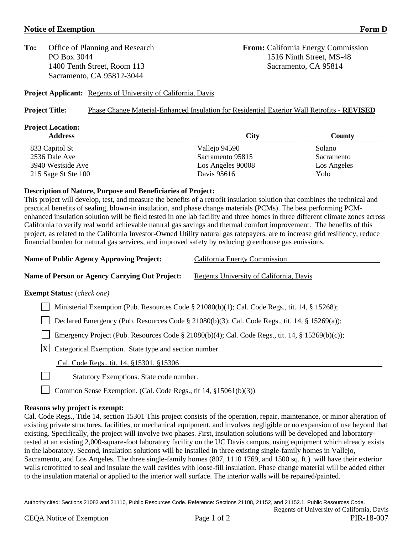## **Notice of Exemption Form D**

**To:** Office of Planning and Research **From:** California Energy Commission 1400 Tenth Street, Room 113 Sacramento, CA 95814 Sacramento, CA 95812-3044

PO Box 3044 1516 Ninth Street, MS-48

**Project Applicant:** Regents of University of California, Davis

### **Project Title:** Phase Change Material-Enhanced Insulation for Residential Exterior Wall Retrofits - **REVISED**

# **Project Location: Address City County** 833 Capitol St Solano 2536 Dale Ave Sacramento 95815 Sacramento 95815 Sacramento 3940 Westside Ave Los Angeles 90008 Los Angeles 215 Sage St Ste 100 Davis 95616 Powers Powers Age St Ste 100

## **Description of Nature, Purpose and Beneficiaries of Project:**

This project will develop, test, and measure the benefits of a retrofit insulation solution that combines the technical and practical benefits of sealing, blown-in insulation, and phase change materials (PCMs). The best performing PCMenhanced insulation solution will be field tested in one lab facility and three homes in three different climate zones across California to verify real world achievable natural gas savings and thermal comfort improvement. The benefits of this project, as related to the California Investor-Owned Utility natural gas ratepayers, are to increase grid resiliency, reduce financial burden for natural gas services, and improved safety by reducing greenhouse gas emissions.

| <b>Name of Public Agency Approving Project:</b>       | California Energy Commission            |
|-------------------------------------------------------|-----------------------------------------|
| <b>Name of Person or Agency Carrying Out Project:</b> | Regents University of California, Davis |

#### **Exempt Status:** (*check one)*

| Ministerial Exemption (Pub. Resources Code § 21080(b)(1); Cal. Code Regs., tit. 14, § 15268);   |  |
|-------------------------------------------------------------------------------------------------|--|
| Declared Emergency (Pub. Resources Code § 21080(b)(3); Cal. Code Regs., tit. 14, § 15269(a));   |  |
| Emergency Project (Pub. Resources Code § 21080(b)(4); Cal. Code Regs., tit. 14, § 15269(b)(c)); |  |
| $ \mathbf{X} $ Categorical Exemption. State type and section number                             |  |
| Cal. Code Regs., tit. 14, §15301, §15306                                                        |  |

Statutory Exemptions. State code number.

Common Sense Exemption. (Cal. Code Regs., tit 14, §15061(b)(3))

#### **Reasons why project is exempt:**

Cal. Code Regs., Title 14, section 15301 This project consists of the operation, repair, maintenance, or minor alteration of existing private structures, facilities, or mechanical equipment, and involves negligible or no expansion of use beyond that existing. Specifically, the project will involve two phases. First, insulation solutions will be developed and laboratorytested at an existing 2,000-square-foot laboratory facility on the UC Davis campus, using equipment which already exists in the laboratory. Second, insulation solutions will be installed in three existing single-family homes in Vallejo, Sacramento, and Los Angeles. The three single-family homes (807, 1110 1769, and 1500 sq. ft.) will have their exterior walls retrofitted to seal and insulate the wall cavities with loose-fill insulation. Phase change material will be added either to the insulation material or applied to the interior wall surface. The interior walls will be repaired/painted.